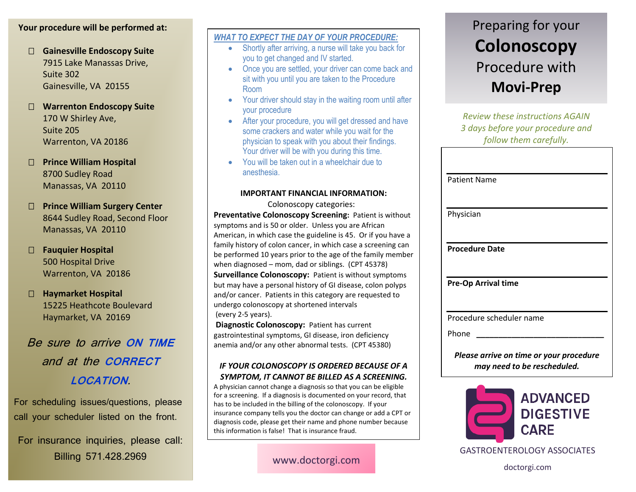# **Your procedure will be performed at:**

 **Gainesville Endoscopy Suite** 7915 Lake Manassas Drive, Suite 302 Gainesville, VA 20155

# **Warrenton Endoscopy Suite** 170 W Shirley Ave, Suite 205 Warrenton, VA 20186

 **Prince William Hospital** 8700 Sudley Road Manassas, VA 20110

 **Prince William Surgery Center** 8644 Sudley Road, Second Floor Manassas, VA 20110

# **Fauquier Hospital** 500 Hospital Drive Warrenton, VA 20186

 **Haymarket Hospital** 15225 Heathcote Boulevard Haymarket, VA 20169

# Be sure to arrive **ON TIME**  and at the **CORRECT LOCATION**.

For scheduling issues/questions, please call your scheduler listed on the front.

For insurance inquiries, please call: Billing 571.428.2969

## *WHAT TO EXPECT THE DAY OF YOUR PROCEDURE:*

- Shortly after arriving, a nurse will take you back for you to get changed and IV started.
- Once you are settled, your driver can come back and sit with you until you are taken to the Procedure Room
- Your driver should stay in the waiting room until after your procedure
- After your procedure, you will get dressed and have some crackers and water while you wait for the physician to speak with you about their findings. Your driver will be with you during this time.
- You will be taken out in a wheelchair due to anesthesia.

#### **IMPORTANT FINANCIAL INFORMATION:**

#### Colonoscopy categories:

**Preventative Colonoscopy Screening:** Patient is without symptoms and is 50 or older. Unless you are African American, in which case the guideline is 45. Or if you have a family history of colon cancer, in which case a screening can be performed 10 years prior to the age of the family member when diagnosed – mom, dad or siblings. (CPT 45378) **Surveillance Colonoscopy:** Patient is without symptoms but may have a personal history of GI disease, colon polyps and/or cancer. Patients in this category are requested to undergo colonoscopy at shortened intervals

(every 2-5 years).

**Diagnostic Colonoscopy:** Patient has current gastrointestinal symptoms, GI disease, iron deficiency anemia and/or any other abnormal tests. (CPT 45380)

## *IF YOUR COLONOSCOPY IS ORDERED BECAUSE OF A SYMPTOM, IT CANNOT BE BILLED AS A SCREENING.*

A physician cannot change a diagnosis so that you can be eligible for a screening. If a diagnosis is documented on your record, that has to be included in the billing of the colonoscopy. If your insurance company tells you the doctor can change or add a CPT or diagnosis code, please get their name and phone number because this information is false! That is insurance fraud.

www.doctorgi.com

# Preparing for your **Colonoscopy**  Procedure with **Movi-Prep**

*Review these instructions AGAIN 3 days before your procedure and follow them carefully.*

| <b>Patient Name</b> |                            |  |  |
|---------------------|----------------------------|--|--|
| Physician           |                            |  |  |
|                     | <b>Procedure Date</b>      |  |  |
|                     |                            |  |  |
|                     | <b>Pre-Op Arrival time</b> |  |  |
|                     | Procedure scheduler name   |  |  |

*Please arrive on time or your procedure may need to be rescheduled.*



GASTROENTEROLOGY ASSOCIATES